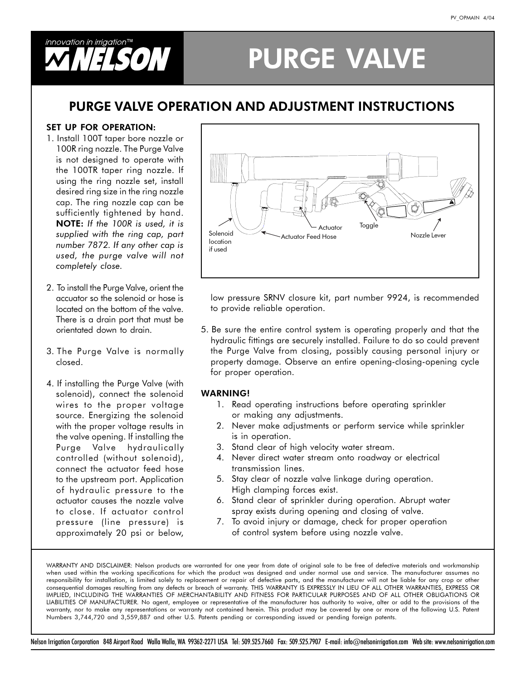

# **PURGE VALVE**

### **PURGE VALVE OPERATION AND ADJUSTMENT INSTRUCTIONS**

#### **SET UP FOR OPERATION:**

- 1. Install 100T taper bore nozzle or 100R ring nozzle. The Purge Valve is not designed to operate with the 100TR taper ring nozzle. If using the ring nozzle set, install desired ring size in the ring nozzle cap. The ring nozzle cap can be sufficiently tightened by hand. NOTE: If the 100R is used, it is supplied with the ring cap, part number 7872. If any other cap is used, the purge valve will not completely close.
- 2. To install the Purge Valve, orient the accuator so the solenoid or hose is located on the bottom of the valve. There is a drain port that must be orientated down to drain.
- 3. The Purge Valve is normally closed.
- 4. If installing the Purge Valve (with solenoid), connect the solenoid wires to the proper voltage source. Energizing the solenoid with the proper voltage results in the valve opening. If installing the Purge Valve hydraulically controlled (without solenoid), connect the actuator feed hose to the upstream port. Application of hydraulic pressure to the actuator causes the nozzle valve to close. If actuator control pressure (line pressure) is approximately 20 psi or below,



low pressure SRNV closure kit, part number 9924, is recommended to provide reliable operation.

5. Be sure the entire control system is operating properly and that the hydraulic fittings are securely installed. Failure to do so could prevent the Purge Valve from closing, possibly causing personal injury or property damage. Observe an entire opening-closing-opening cycle for proper operation.

#### **WARNING!**

- 1. Read operating instructions before operating sprinkler or making any adjustments.
- 2. Never make adjustments or perform service while sprinkler is in operation.
- 3. Stand clear of high velocity water stream.
- 4. Never direct water stream onto roadway or electrical transmission lines.
- 5. Stay clear of nozzle valve linkage during operation. High clamping forces exist.
- 6. Stand clear of sprinkler during operation. Abrupt water spray exists during opening and closing of valve.
- 7. To avoid injury or damage, check for proper operation of control system before using nozzle valve.

WARRANTY AND DISCLAIMER: Nelson products are warranted for one year from date of original sale to be free of defective materials and workmanship when used within the working specifications for which the product was designed and under normal use and service. The manufacturer assumes no responsibility for installation, is limited solely to replacement or repair of defective parts, and the manufacturer will not be liable for any crop or other consequential damages resulting from any defects or breach of warranty. THIS WARRANTY IS EXPRESSLY IN LIEU OF ALL OTHER WARRANTIES, EXPRESS OR IMPLIED, INCLUDING THE WARRANTIES OF MERCHANTABILITY AND FITNESS FOR PARTICULAR PURPOSES AND OF ALL OTHER OBLIGATIONS OR LIABILITIES OF MANUFACTURER. No agent, employee or representative of the manufacturer has authority to waive, alter or add to the provisions of the warranty, nor to make any representations or warranty not contained herein. This product may be covered by one or more of the following U.S. Patent Numbers 3,744,720 and 3,559,887 and other U.S. Patents pending or corresponding issued or pending foreign patents.

Nelson Irrigation Corporation 848 Airport Road Walla Walla, WA 99362-2271 USA Tel: 509.525.7660 Fax: 509.525.7907 E-mail: info@nelsonirrigation.com Web site: www.nelsonirrigation.com